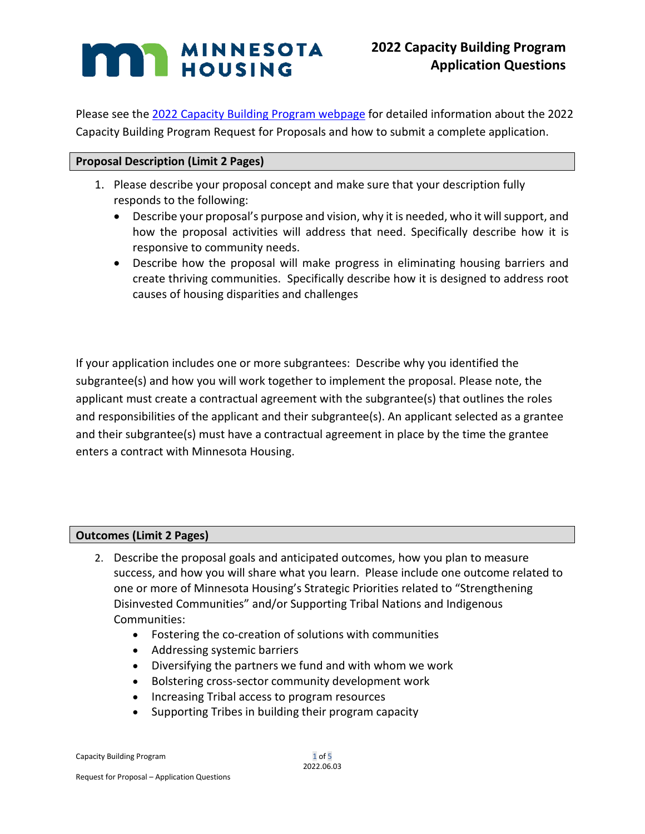# **NESOTA** MINNESOTA

Please see the [2022 Capacity Building Program webpage](https://www.mnhousing.gov/sites/np/CapacityBuildingProgram) for detailed information about the 2022 Capacity Building Program Request for Proposals and how to submit a complete application.

## **Proposal Description (Limit 2 Pages)**

- 1. Please describe your proposal concept and make sure that your description fully responds to the following:
	- Describe your proposal's purpose and vision, why it is needed, who it will support, and how the proposal activities will address that need. Specifically describe how it is responsive to community needs.
	- Describe how the proposal will make progress in eliminating housing barriers and create thriving communities. Specifically describe how it is designed to address root causes of housing disparities and challenges

If your application includes one or more subgrantees: Describe why you identified the subgrantee(s) and how you will work together to implement the proposal. Please note, the applicant must create a contractual agreement with the subgrantee(s) that outlines the roles and responsibilities of the applicant and their subgrantee(s). An applicant selected as a grantee and their subgrantee(s) must have a contractual agreement in place by the time the grantee enters a contract with Minnesota Housing.

### **Outcomes (Limit 2 Pages)**

- 2. Describe the proposal goals and anticipated outcomes, how you plan to measure success, and how you will share what you learn. Please include one outcome related to one or more of Minnesota Housing's Strategic Priorities related to "Strengthening Disinvested Communities" and/or Supporting Tribal Nations and Indigenous Communities:
	- Fostering the co-creation of solutions with communities
	- Addressing systemic barriers
	- Diversifying the partners we fund and with whom we work
	- Bolstering cross-sector community development work
	- Increasing Tribal access to program resources
	- Supporting Tribes in building their program capacity

Capacity Building Program 1 of 5

2022.06.03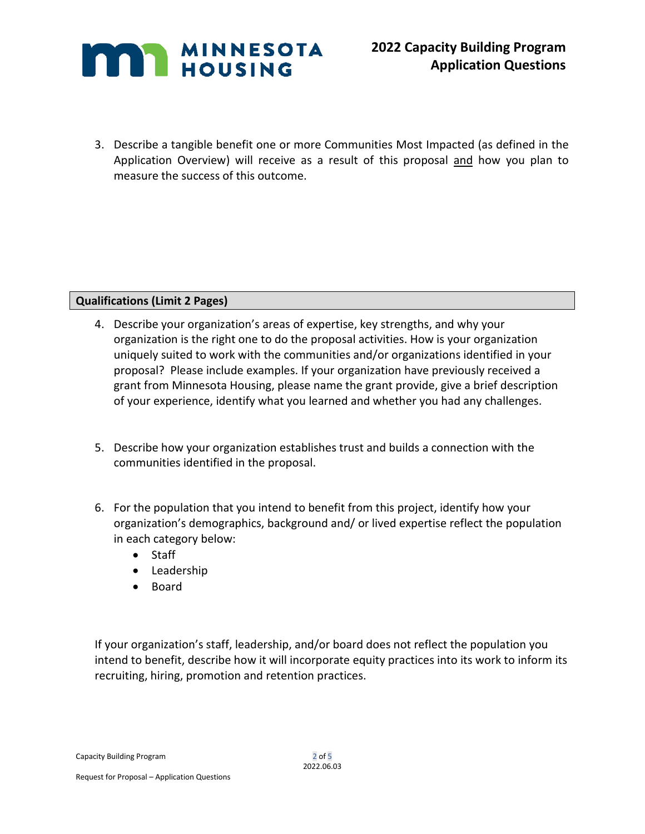

3. Describe a tangible benefit one or more Communities Most Impacted (as defined in the Application Overview) will receive as a result of this proposal and how you plan to measure the success of this outcome.

### **Qualifications (Limit 2 Pages)**

- 4. Describe your organization's areas of expertise, key strengths, and why your organization is the right one to do the proposal activities. How is your organization uniquely suited to work with the communities and/or organizations identified in your proposal? Please include examples. If your organization have previously received a grant from Minnesota Housing, please name the grant provide, give a brief description of your experience, identify what you learned and whether you had any challenges.
- 5. Describe how your organization establishes trust and builds a connection with the communities identified in the proposal.
- 6. For the population that you intend to benefit from this project, identify how your organization's demographics, background and/ or lived expertise reflect the population in each category below:
	- Staff
	- Leadership
	- Board

If your organization's staff, leadership, and/or board does not reflect the population you intend to benefit, describe how it will incorporate equity practices into its work to inform its recruiting, hiring, promotion and retention practices.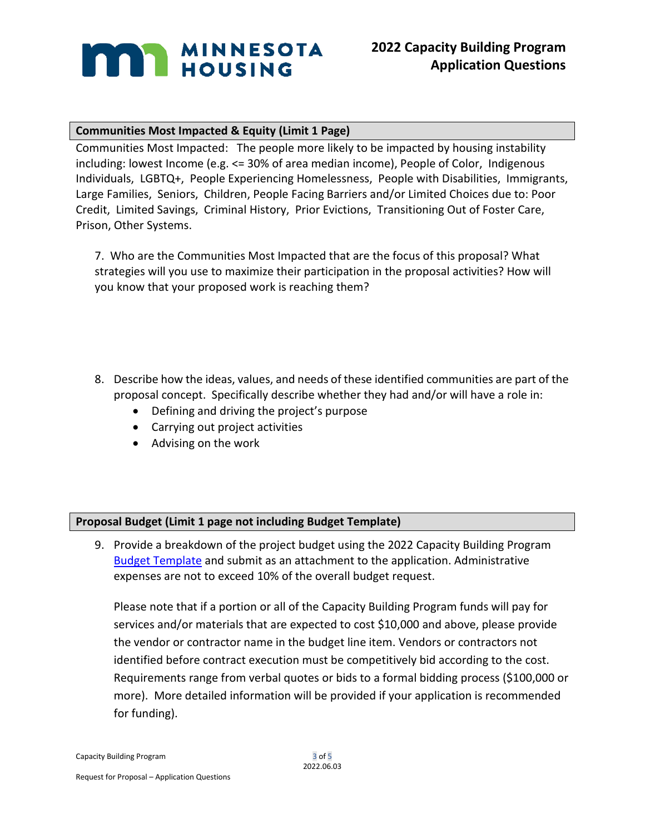# **MAN MINNESOTA**

## **Communities Most Impacted & Equity (Limit 1 Page)**

Communities Most Impacted: The people more likely to be impacted by housing instability including: lowest Income (e.g. <= 30% of area median income), People of Color, Indigenous Individuals, LGBTQ+, People Experiencing Homelessness, People with Disabilities, Immigrants, Large Families, Seniors, Children, People Facing Barriers and/or Limited Choices due to: Poor Credit, Limited Savings, Criminal History, Prior Evictions, Transitioning Out of Foster Care, Prison, Other Systems.

7. Who are the Communities Most Impacted that are the focus of this proposal? What strategies will you use to maximize their participation in the proposal activities? How will you know that your proposed work is reaching them?

- 8. Describe how the ideas, values, and needs of these identified communities are part of the proposal concept. Specifically describe whether they had and/or will have a role in:
	- Defining and driving the project's purpose
	- Carrying out project activities
	- Advising on the work

## **Proposal Budget (Limit 1 page not including Budget Template)**

9. Provide a breakdown of the project budget using the 2022 Capacity Building Program [Budget Template](http://www.mnhousing.gov/download/MHFA_269441) and submit as an attachment to the application. Administrative expenses are not to exceed 10% of the overall budget request.

Please note that if a portion or all of the Capacity Building Program funds will pay for services and/or materials that are expected to cost \$10,000 and above, please provide the vendor or contractor name in the budget line item. Vendors or contractors not identified before contract execution must be competitively bid according to the cost. Requirements range from verbal quotes or bids to a formal bidding process (\$100,000 or more). More detailed information will be provided if your application is recommended for funding).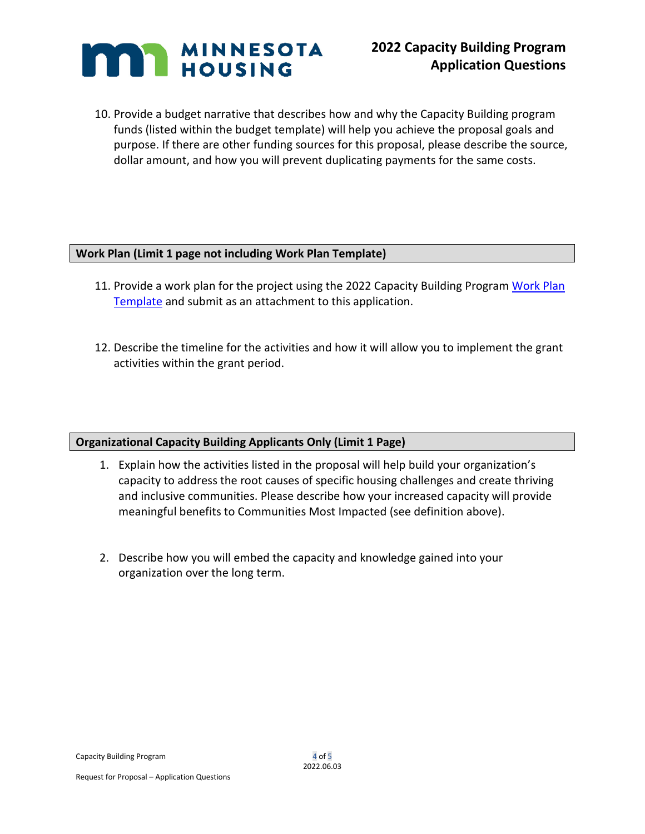

10. Provide a budget narrative that describes how and why the Capacity Building program funds (listed within the budget template) will help you achieve the proposal goals and purpose. If there are other funding sources for this proposal, please describe the source, dollar amount, and how you will prevent duplicating payments for the same costs.

#### **Work Plan (Limit 1 page not including Work Plan Template)**

- 11. Provide a work plan for the project using the 2022 Capacity Building Program [Work Plan](http://www.mnhousing.gov/download/MHFA_269442)  [Template](http://www.mnhousing.gov/download/MHFA_269442) and submit as an attachment to this application.
- 12. Describe the timeline for the activities and how it will allow you to implement the grant activities within the grant period.

### **Organizational Capacity Building Applicants Only (Limit 1 Page)**

- 1. Explain how the activities listed in the proposal will help build your organization's capacity to address the root causes of specific housing challenges and create thriving and inclusive communities. Please describe how your increased capacity will provide meaningful benefits to Communities Most Impacted (see definition above).
- 2. Describe how you will embed the capacity and knowledge gained into your organization over the long term.

Capacity Building Program **4 of 5**